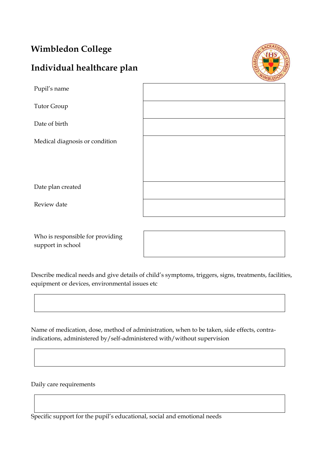## **Wimbledon College**

# **Individual healthcare plan**



| Pupil's name                   |  |
|--------------------------------|--|
| Tutor Group                    |  |
| Date of birth                  |  |
| Medical diagnosis or condition |  |
|                                |  |
|                                |  |
| Date plan created              |  |
| Review date                    |  |

Who is responsible for providing support in school

Describe medical needs and give details of child's symptoms, triggers, signs, treatments, facilities, equipment or devices, environmental issues etc

Name of medication, dose, method of administration, when to be taken, side effects, contraindications, administered by/self-administered with/without supervision

Daily care requirements

Specific support for the pupil's educational, social and emotional needs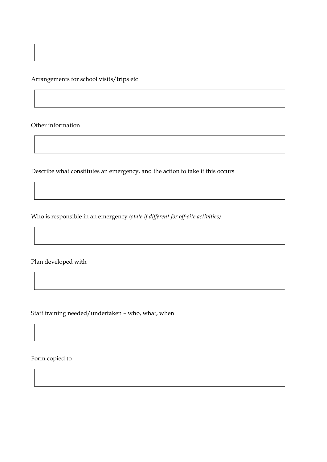Arrangements for school visits/trips etc

Other information

Describe what constitutes an emergency, and the action to take if this occurs

Who is responsible in an emergency *(state if different for off-site activities)*

Plan developed with

Staff training needed/undertaken – who, what, when

Form copied to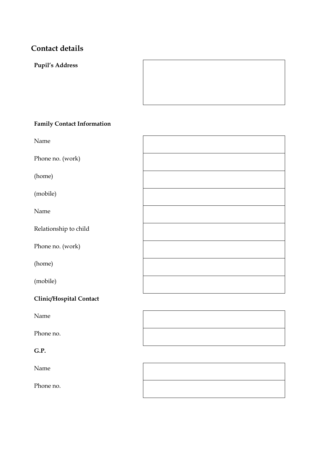### **Contact details**

**Pupil's Address**



#### **Family Contact Information**

Name Phone no. (work) (home) (mobile) Name Relationship to child Phone no. (work) (home) (mobile)

#### **Clinic/Hospital Contact**

Name

Phone no.

#### **G.P.**

Name

Phone no.

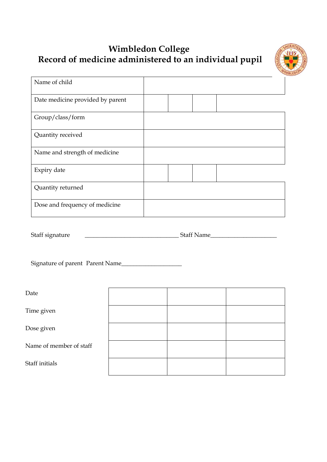## **Wimbledon College Record of medicine administered to an individual pupil**



| Name of child                    |  |  |
|----------------------------------|--|--|
| Date medicine provided by parent |  |  |
| Group/class/form                 |  |  |
| Quantity received                |  |  |
| Name and strength of medicine    |  |  |
| Expiry date                      |  |  |
| Quantity returned                |  |  |
| Dose and frequency of medicine   |  |  |

Staff signature \_\_\_\_\_\_\_\_\_\_\_\_\_\_\_\_\_\_\_\_\_\_\_\_\_\_\_\_\_\_\_ Staff Name\_\_\_\_\_\_\_\_\_\_\_\_\_\_\_\_\_\_\_\_\_\_

Signature of parent Parent Name\_\_\_\_\_\_\_\_\_\_\_\_\_\_\_\_\_\_\_\_

Date

Time given

Dose given

Name of member of staff

Staff initials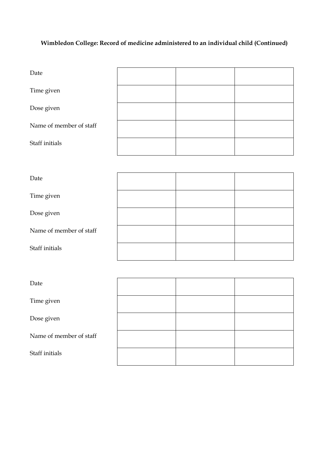### **Wimbledon College: Record of medicine administered to an individual child (Continued)**

| Date                    |  |  |
|-------------------------|--|--|
| Time given              |  |  |
| Dose given              |  |  |
| Name of member of staff |  |  |
| Staff initials          |  |  |

| Date                    |  |  |
|-------------------------|--|--|
| Time given              |  |  |
| Dose given              |  |  |
| Name of member of staff |  |  |
| Staff initials          |  |  |

| Date                    |  |  |
|-------------------------|--|--|
| Time given              |  |  |
| Dose given              |  |  |
| Name of member of staff |  |  |
| Staff initials          |  |  |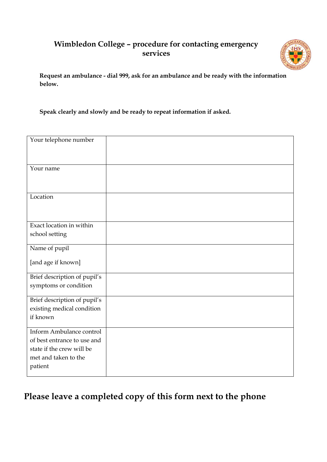### **Wimbledon College – procedure for contacting emergency services**



**Request an ambulance - dial 999, ask for an ambulance and be ready with the information below.**

**Speak clearly and slowly and be ready to repeat information if asked.**

| Your telephone number        |  |
|------------------------------|--|
|                              |  |
|                              |  |
|                              |  |
| Your name                    |  |
|                              |  |
|                              |  |
|                              |  |
| Location                     |  |
|                              |  |
|                              |  |
|                              |  |
| Exact location in within     |  |
| school setting               |  |
|                              |  |
| Name of pupil                |  |
|                              |  |
| [and age if known]           |  |
|                              |  |
| Brief description of pupil's |  |
| symptoms or condition        |  |
|                              |  |
| Brief description of pupil's |  |
| existing medical condition   |  |
| if known                     |  |
|                              |  |
| Inform Ambulance control     |  |
| of best entrance to use and  |  |
|                              |  |
| state if the crew will be    |  |
| met and taken to the         |  |
| patient                      |  |
|                              |  |

## **Please leave a completed copy of this form next to the phone**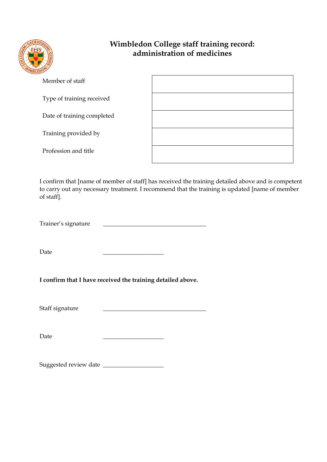

### **Wimbledon College staff training record: administration of medicines**

| Member of staff            |  |
|----------------------------|--|
| Type of training received  |  |
| Date of training completed |  |
| Training provided by       |  |
| Profession and title       |  |

I confirm that [name of member of staff] has received the training detailed above and is competent to carry out any necessary treatment. I recommend that the training is updated [name of member of staff].

Trainer's signature

Date \_\_\_\_\_\_\_\_\_\_\_\_\_\_\_\_\_\_\_\_

**I confirm that I have received the training detailed above.**

Staff signature

Date \_\_\_\_\_\_\_\_\_\_\_\_\_\_\_\_\_\_\_\_

Suggested review date \_\_\_\_\_\_\_\_\_\_\_\_\_\_\_\_\_\_\_\_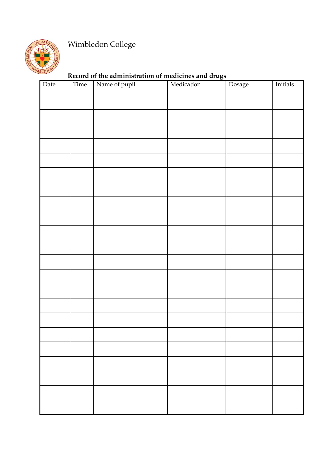

# Wimbledon College

### **Record of the administration of medicines and drugs**

| ${\rm Date}$ | Time | Name of pupil | Medication | Dosage | Initials |
|--------------|------|---------------|------------|--------|----------|
|              |      |               |            |        |          |
|              |      |               |            |        |          |
|              |      |               |            |        |          |
|              |      |               |            |        |          |
|              |      |               |            |        |          |
|              |      |               |            |        |          |
|              |      |               |            |        |          |
|              |      |               |            |        |          |
|              |      |               |            |        |          |
|              |      |               |            |        |          |
|              |      |               |            |        |          |
|              |      |               |            |        |          |
|              |      |               |            |        |          |
|              |      |               |            |        |          |
|              |      |               |            |        |          |
|              |      |               |            |        |          |
|              |      |               |            |        |          |
|              |      |               |            |        |          |
|              |      |               |            |        |          |
|              |      |               |            |        |          |
|              |      |               |            |        |          |
|              |      |               |            |        |          |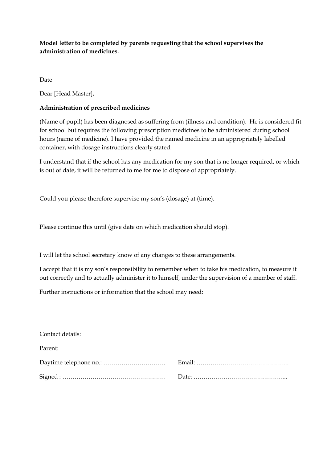**Model letter to be completed by parents requesting that the school supervises the administration of medicines.**

Date

Dear [Head Master],

#### **Administration of prescribed medicines**

(Name of pupil) has been diagnosed as suffering from (illness and condition). He is considered fit for school but requires the following prescription medicines to be administered during school hours (name of medicine). I have provided the named medicine in an appropriately labelled container, with dosage instructions clearly stated.

I understand that if the school has any medication for my son that is no longer required, or which is out of date, it will be returned to me for me to dispose of appropriately.

Could you please therefore supervise my son's (dosage) at (time).

Please continue this until (give date on which medication should stop).

I will let the school secretary know of any changes to these arrangements.

I accept that it is my son's responsibility to remember when to take his medication, to measure it out correctly and to actually administer it to himself, under the supervision of a member of staff.

Further instructions or information that the school may need:

| Contact details: |  |
|------------------|--|
| Parent:          |  |
|                  |  |
|                  |  |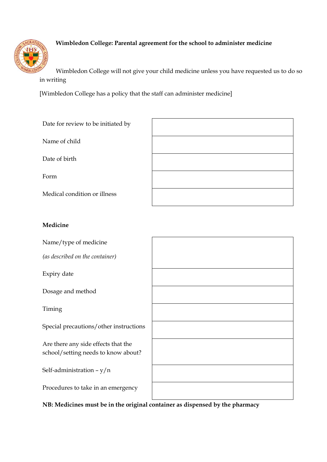

#### **Wimbledon College: Parental agreement for the school to administer medicine**

Wimbledon College will not give your child medicine unless you have requested us to do so in writing

[Wimbledon College has a policy that the staff can administer medicine]

| Date for review to be initiated by                                         |  |
|----------------------------------------------------------------------------|--|
| Name of child                                                              |  |
| Date of birth                                                              |  |
| Form                                                                       |  |
| Medical condition or illness                                               |  |
|                                                                            |  |
| Medicine                                                                   |  |
| Name/type of medicine                                                      |  |
| (as described on the container)                                            |  |
| Expiry date                                                                |  |
| Dosage and method                                                          |  |
| Timing                                                                     |  |
| Special precautions/other instructions                                     |  |
| Are there any side effects that the<br>school/setting needs to know about? |  |

Self-administration – y/n

Procedures to take in an emergency

**NB: Medicines must be in the original container as dispensed by the pharmacy**